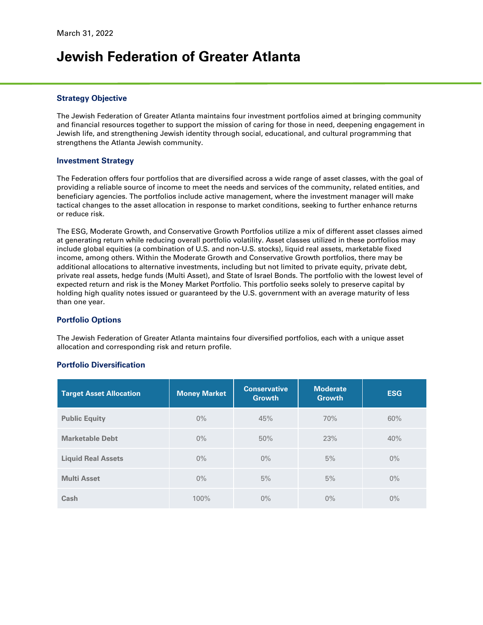# **Jewish Federation of Greater Atlanta**

#### **Strategy Objective**

The Jewish Federation of Greater Atlanta maintains four investment portfolios aimed at bringing community and financial resources together to support the mission of caring for those in need, deepening engagement in Jewish life, and strengthening Jewish identity through social, educational, and cultural programming that strengthens the Atlanta Jewish community.

#### **Investment Strategy**

The Federation offers four portfolios that are diversified across a wide range of asset classes, with the goal of providing a reliable source of income to meet the needs and services of the community, related entities, and beneficiary agencies. The portfolios include active management, where the investment manager will make tactical changes to the asset allocation in response to market conditions, seeking to further enhance returns or reduce risk.

The ESG, Moderate Growth, and Conservative Growth Portfolios utilize a mix of different asset classes aimed at generating return while reducing overall portfolio volatility. Asset classes utilized in these portfolios may include global equities (a combination of U.S. and non-U.S. stocks), liquid real assets, marketable fixed income, among others. Within the Moderate Growth and Conservative Growth portfolios, there may be additional allocations to alternative investments, including but not limited to private equity, private debt, private real assets, hedge funds (Multi Asset), and State of Israel Bonds. The portfolio with the lowest level of expected return and risk is the Money Market Portfolio. This portfolio seeks solely to preserve capital by holding high quality notes issued or guaranteed by the U.S. government with an average maturity of less than one year.

#### **Portfolio Options**

The Jewish Federation of Greater Atlanta maintains four diversified portfolios, each with a unique asset allocation and corresponding risk and return profile.

#### **Portfolio Diversification**

| <b>Target Asset Allocation</b> | <b>Money Market</b> | <b>Conservative</b><br><b>Growth</b> | <b>Moderate</b><br><b>Growth</b> | <b>ESG</b> |  |  |
|--------------------------------|---------------------|--------------------------------------|----------------------------------|------------|--|--|
| <b>Public Equity</b>           | $0\%$               | 45%                                  | 70%                              | 60%        |  |  |
| <b>Marketable Debt</b>         | $0\%$               | 50%                                  | 23%                              | 40%        |  |  |
| <b>Liquid Real Assets</b>      | $0\%$               | $0\%$                                | 5%                               | $0\%$      |  |  |
| <b>Multi Asset</b>             | $0\%$               | 5%                                   | 5%                               | $0\%$      |  |  |
| Cash                           | 100%                | $0\%$                                | $0\%$                            | $0\%$      |  |  |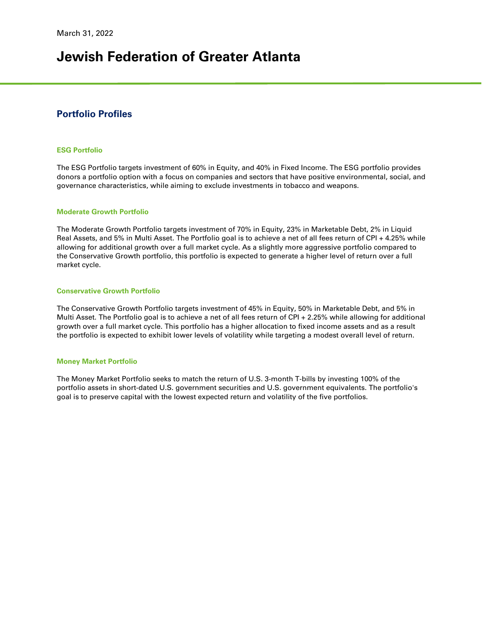# **Jewish Federation of Greater Atlanta**

### **Portfolio Profiles**

#### **ESG Portfolio**

The ESG Portfolio targets investment of 60% in Equity, and 40% in Fixed Income. The ESG portfolio provides donors a portfolio option with a focus on companies and sectors that have positive environmental, social, and governance characteristics, while aiming to exclude investments in tobacco and weapons.

#### **Moderate Growth Portfolio**

The Moderate Growth Portfolio targets investment of 70% in Equity, 23% in Marketable Debt, 2% in Liquid Real Assets, and 5% in Multi Asset. The Portfolio goal is to achieve a net of all fees return of CPI + 4.25% while allowing for additional growth over a full market cycle. As a slightly more aggressive portfolio compared to the Conservative Growth portfolio, this portfolio is expected to generate a higher level of return over a full market cycle.

#### **Conservative Growth Portfolio**

The Conservative Growth Portfolio targets investment of 45% in Equity, 50% in Marketable Debt, and 5% in Multi Asset. The Portfolio goal is to achieve a net of all fees return of CPI + 2.25% while allowing for additional growth over a full market cycle. This portfolio has a higher allocation to fixed income assets and as a result the portfolio is expected to exhibit lower levels of volatility while targeting a modest overall level of return.

#### **Money Market Portfolio**

The Money Market Portfolio seeks to match the return of U.S. 3-month T-bills by investing 100% of the portfolio assets in short-dated U.S. government securities and U.S. government equivalents. The portfolio's goal is to preserve capital with the lowest expected return and volatility of the five portfolios.